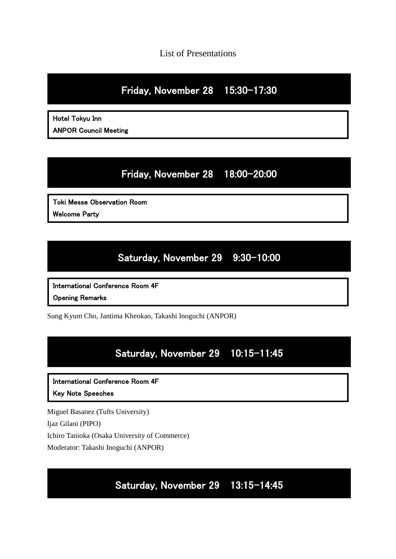List of Presentations

# Friday, November 28 15:30–17:30

Hotel Tokyu Inn ANPOR Council Meeting

# Friday, November 28 18:00–20:00

Toki Messe Observation Room Welcome Party

# Saturday, November 29 9:30–10:00

International Conference Room 4F

Opening Remarks

Sung Kyum Cho, Jantima Kheokao, Takashi Inoguchi (ANPOR)

# Saturday, November 29 10:15–11:45

International Conference Room 4F

Key Note Speeches

Miguel Basanez (Tufts University)

Ijaz Gilani (PIPO)

Ichiro Tanioka (Osaka University of Commerce)

Moderator: Takashi Inoguchi (ANPOR)

Saturday, November 29 13:15–14:45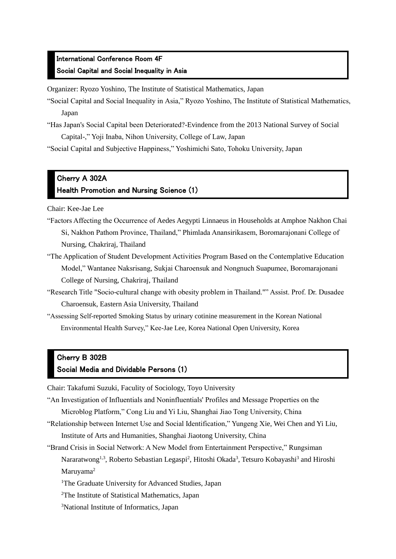#### International Conference Room 4F Social Capital and Social Inequality in Asia

Organizer: Ryozo Yoshino, The Institute of Statistical Mathematics, Japan

- "Social Capital and Social Inequality in Asia," Ryozo Yoshino, The Institute of Statistical Mathematics, Japan
- "Has Japan's Social Capital been Deteriorated?-Evindence from the 2013 National Survey of Social Capital-," Yoji Inaba, Nihon University, College of Law, Japan

"Social Capital and Subjective Happiness," Yoshimichi Sato, Tohoku University, Japan

### Cherry A 302A Health Promotion and Nursing Science (1)

Chair: Kee-Jae Lee

- "Factors Affecting the Occurrence of Aedes Aegypti Linnaeus in Households at Amphoe Nakhon Chai Si, Nakhon Pathom Province, Thailand," Phimlada Anansirikasem, Boromarajonani College of Nursing, Chakriraj, Thailand
- "The Application of Student Development Activities Program Based on the Contemplative Education Model," Wantanee Naksrisang, Sukjai Charoensuk and Nongnuch Suapumee, Boromarajonani College of Nursing, Chakriraj, Thailand
- "Research Title "Socio-cultural change with obesity problem in Thailand."" Assist. Prof. Dr. Dusadee Charoensuk, Eastern Asia University, Thailand
- "Assessing Self-reported Smoking Status by urinary cotinine measurement in the Korean National Environmental Health Survey," Kee-Jae Lee, Korea National Open University, Korea

## Cherry B 302B

#### Social Media and Dividable Persons (1)

Chair: Takafumi Suzuki, Faculity of Sociology, Toyo University

- "An Investigation of Influentials and Noninfluentials' Profiles and Message Properties on the Microblog Platform," Cong Liu and Yi Liu, Shanghai Jiao Tong University, China
- "Relationship between Internet Use and Social Identification," Yungeng Xie, Wei Chen and Yi Liu, Institute of Arts and Humanities, Shanghai Jiaotong University, China

"Brand Crisis in Social Network: A New Model from Entertainment Perspective," Rungsiman Nararatwong<sup>1,3</sup>, Roberto Sebastian Legaspi<sup>2</sup>, Hitoshi Okada<sup>3</sup>, Tetsuro Kobayashi<sup>3</sup> and Hiroshi Maruyama<sup>2</sup>

- <sup>1</sup>The Graduate University for Advanced Studies, Japan
- <sup>2</sup>The Institute of Statistical Mathematics, Japan
- <sup>3</sup>National Institute of Informatics, Japan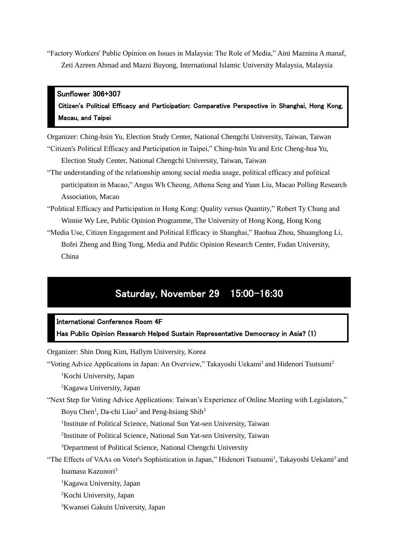"Factory Workers' Public Opinion on Issues in Malaysia: The Role of Media," Aini Maznina A manaf, Zeti Azreen Ahmad and Mazni Buyong, International Islamic University Malaysia, Malaysia

#### Sunflower 306+307

Citizen's Political Efficacy and Participation: Comparative Perspective in Shanghai, Hong Kong, Macau, and Taipei

Organizer: Ching-hsin Yu, Election Study Center, National Chengchi University, Taiwan, Taiwan "Citizen's Political Efficacy and Participation in Taipei," Ching-hsin Yu and Eric Cheng-hua Yu,

Election Study Center, National Chengchi University, Taiwan, Taiwan

- "The understanding of the relationship among social media usage, political efficacy and political participation in Macao," Angus Wh Cheong, Athena Seng and Yuan Liu, Macao Polling Research Association, Macao
- "Political Efficacy and Participation in Hong Kong: Quality versus Quantity," Robert Ty Chung and Winnie Wy Lee, Public Opinion Programme, The University of Hong Kong, Hong Kong
- "Media Use, Citizen Engagement and Political Efficacy in Shanghai," Baohua Zhou, Shuanglong Li, Bofei Zheng and Bing Tong, Media and Public Opinion Research Center, Fudan University, China

## Saturday, November 29 15:00–16:30

International Conference Room 4F

Has Public Opinion Research Helped Sustain Representative Democracy in Asia? (1)

Organizer: Shin Dong Kim, Hallym University, Korea

"Voting Advice Applications in Japan: An Overview," Takayoshi Uekami<sup>1</sup> and Hidenori Tsutsumi<sup>2</sup> <sup>1</sup>Kochi University, Japan

<sup>2</sup>Kagawa University, Japan

"Next Step for Voting Advice Applications: Taiwan's Experience of Online Meeting with Legislators," Boyu Chen<sup>1</sup>, Da-chi Liao<sup>2</sup> and Peng-hsiang Shih<sup>3</sup>

<sup>1</sup>Institute of Political Science, National Sun Yat-sen University, Taiwan

2 Institute of Political Science, National Sun Yat-sen University, Taiwan

<sup>3</sup>Department of Political Science, National Chengchi University

"The Effects of VAAs on Voter's Sophistication in Japan," Hidenori Tsutsumi<sup>1</sup>, Takayoshi Uekami<sup>2</sup> and Inamasu Kazunori<sup>3</sup>

<sup>1</sup>Kagawa University, Japan

- <sup>2</sup>Kochi University, Japan
- <sup>3</sup>Kwansei Gakuin University, Japan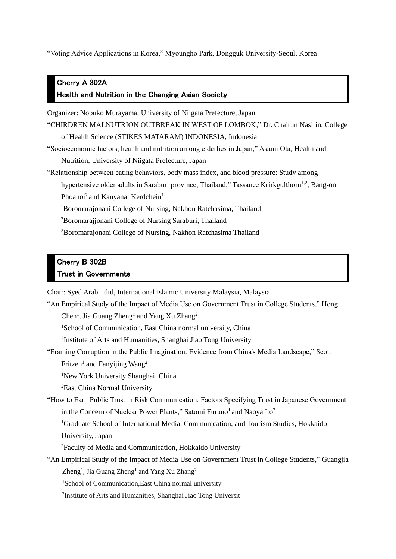"Voting Advice Applications in Korea," Myoungho Park, Dongguk University-Seoul, Korea

### Cherry A 302A Health and Nutrition in the Changing Asian Society

Organizer: Nobuko Murayama, University of Niigata Prefecture, Japan

"CHIRDREN MALNUTRION OUTBREAK IN WEST OF LOMBOK," Dr. Chairun Nasirin, College of Health Science (STIKES MATARAM) INDONESIA, Indonesia

"Socioeconomic factors, health and nutrition among elderlies in Japan," Asami Ota, Health and Nutrition, University of Niigata Prefecture, Japan

"Relationship between eating behaviors, body mass index, and blood pressure: Study among

hypertensive older adults in Saraburi province, Thailand," Tassanee Krirkgulthorn<sup>1,2</sup>, Bang-on Phoanoi<sup>2</sup> and Kanyanat Kerdchein<sup>1</sup>

<sup>1</sup>Boromarajonani College of Nursing, Nakhon Ratchasima, Thailand

<sup>2</sup>Boromarajjonani College of Nursing Saraburi, Thailand

<sup>3</sup>Boromarajonani College of Nursing, Nakhon Ratchasima Thailand

### Cherry B 302B Trust in Governments

Chair: Syed Arabi Idid, International Islamic University Malaysia, Malaysia

"An Empirical Study of the Impact of Media Use on Government Trust in College Students," Hong

Chen<sup>1</sup>, Jia Guang Zheng<sup>1</sup> and Yang Xu Zhang<sup>2</sup>

<sup>1</sup>School of Communication, East China normal university, China

<sup>2</sup>Institute of Arts and Humanities, Shanghai Jiao Tong University

"Framing Corruption in the Public Imagination: Evidence from China's Media Landscape," Scott Fritzen<sup>1</sup> and Fanyijing Wang<sup>2</sup>

<sup>1</sup>New York University Shanghai, China

<sup>2</sup>East China Normal University

"How to Earn Public Trust in Risk Communication: Factors Specifying Trust in Japanese Government in the Concern of Nuclear Power Plants," Satomi Furuno<sup>1</sup> and Naoya Ito<sup>2</sup>

<sup>1</sup>Graduate School of International Media, Communication, and Tourism Studies, Hokkaido University, Japan

<sup>2</sup>Faculty of Media and Communication, Hokkaido University

"An Empirical Study of the Impact of Media Use on Government Trust in College Students," Guangjia Zheng<sup>1</sup>, Jia Guang Zheng<sup>1</sup> and Yang Xu Zhang<sup>2</sup>

<sup>1</sup>School of Communication, East China normal university

2 Institute of Arts and Humanities, Shanghai Jiao Tong Universit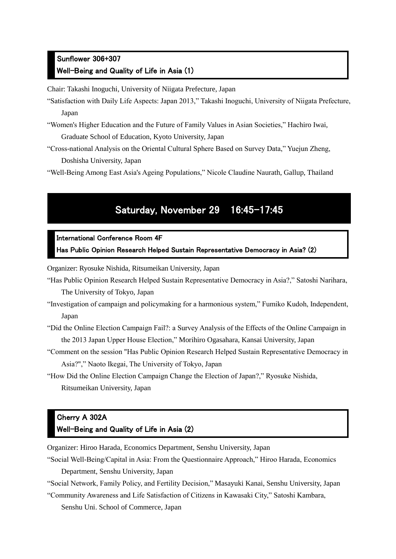### Sunflower 306+307 Well-Being and Quality of Life in Asia (1)

Chair: Takashi Inoguchi, University of Niigata Prefecture, Japan

- "Satisfaction with Daily Life Aspects: Japan 2013," Takashi Inoguchi, University of Niigata Prefecture, Japan
- "Women's Higher Education and the Future of Family Values in Asian Societies," Hachiro Iwai, Graduate School of Education, Kyoto University, Japan
- "Cross-national Analysis on the Oriental Cultural Sphere Based on Survey Data," Yuejun Zheng, Doshisha University, Japan

"Well-Being Among East Asia's Ageing Populations," Nicole Claudine Naurath, Gallup, Thailand

# Saturday, November 29 16:45–17:45

#### International Conference Room 4F

Has Public Opinion Research Helped Sustain Representative Democracy in Asia? (2)

Organizer: Ryosuke Nishida, Ritsumeikan University, Japan

- "Has Public Opinion Research Helped Sustain Representative Democracy in Asia?," Satoshi Narihara, The University of Tokyo, Japan
- "Investigation of campaign and policymaking for a harmonious system," Fumiko Kudoh, Independent, Japan
- "Did the Online Election Campaign Fail?: a Survey Analysis of the Effects of the Online Campaign in the 2013 Japan Upper House Election," Morihiro Ogasahara, Kansai University, Japan
- "Comment on the session "Has Public Opinion Research Helped Sustain Representative Democracy in Asia?"," Naoto Ikegai, The University of Tokyo, Japan
- "How Did the Online Election Campaign Change the Election of Japan?," Ryosuke Nishida, Ritsumeikan University, Japan

### Cherry A 302A Well-Being and Quality of Life in Asia (2)

Organizer: Hiroo Harada, Economics Department, Senshu University, Japan

"Social Well-Being/Capital in Asia: From the Questionnaire Approach," Hiroo Harada, Economics Department, Senshu University, Japan

"Social Network, Family Policy, and Fertility Decision," Masayuki Kanai, Senshu University, Japan

"Community Awareness and Life Satisfaction of Citizens in Kawasaki City," Satoshi Kambara, Senshu Uni. School of Commerce, Japan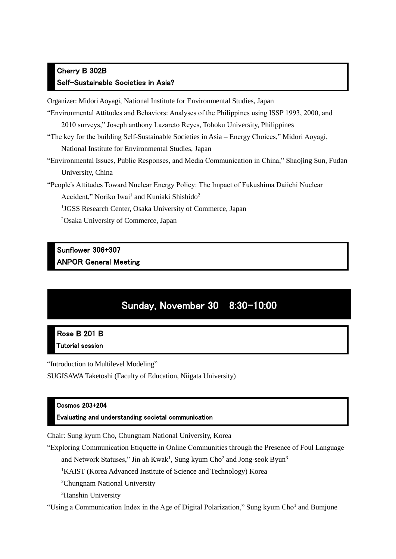### Cherry B 302B Self-Sustainable Societies in Asia?

Organizer: Midori Aoyagi, National Institute for Environmental Studies, Japan

"Environmental Attitudes and Behaviors: Analyses of the Philippines using ISSP 1993, 2000, and

2010 surveys," Joseph anthony Lazareto Reyes, Tohoku University, Philippines

"The key for the building Self-Sustainable Societies in Asia – Energy Choices," Midori Aoyagi,

National Institute for Environmental Studies, Japan

"Environmental Issues, Public Responses, and Media Communication in China," Shaojing Sun, Fudan University, China

"People's Attitudes Toward Nuclear Energy Policy: The Impact of Fukushima Daiichi Nuclear

Accident," Noriko Iwai<sup>1</sup> and Kuniaki Shishido<sup>2</sup>

<sup>1</sup>JGSS Research Center, Osaka University of Commerce, Japan

<sup>2</sup>Osaka University of Commerce, Japan

#### Sunflower 306+307 ANPOR General Meeting

# Sunday, November 30 8:30–10:00

#### Rose B 201 B Tutorial session

"Introduction to Multilevel Modeling"

SUGISAWA Taketoshi (Faculty of Education, Niigata University)

#### Cosmos 203+204

Evaluating and understanding societal communication

Chair: Sung kyum Cho, Chungnam National University, Korea

"Exploring Communication Etiquette in Online Communities through the Presence of Foul Language

and Network Statuses," Jin ah Kwak<sup>1</sup>, Sung kyum Cho<sup>2</sup> and Jong-seok Byun<sup>3</sup>

<sup>1</sup>KAIST (Korea Advanced Institute of Science and Technology) Korea

<sup>2</sup>Chungnam National University

<sup>3</sup>Hanshin University

"Using a Communication Index in the Age of Digital Polarization," Sung kyum Cho<sup>1</sup> and Bumjune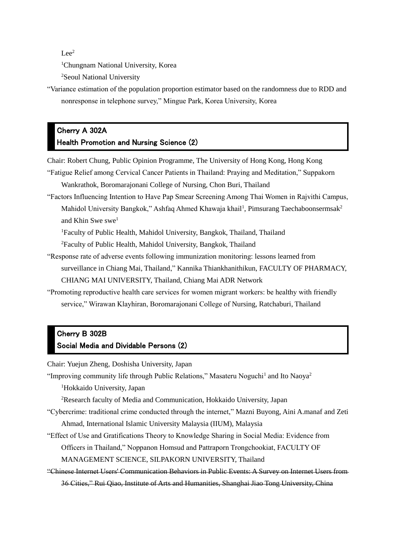$Lee^2$ 

<sup>1</sup>Chungnam National University, Korea

<sup>2</sup>Seoul National University

"Variance estimation of the population proportion estimator based on the randomness due to RDD and nonresponse in telephone survey," Mingue Park, Korea University, Korea

#### Cherry A 302A Health Promotion and Nursing Science (2)

Chair: Robert Chung, Public Opinion Programme, The University of Hong Kong, Hong Kong "Fatigue Relief among Cervical Cancer Patients in Thailand: Praying and Meditation," Suppakorn

- Wankrathok, Boromarajonani College of Nursing, Chon Buri, Thailand
- "Factors Influencing Intention to Have Pap Smear Screening Among Thai Women in Rajvithi Campus, Mahidol University Bangkok," Ashfaq Ahmed Khawaja khail<sup>1</sup>, Pimsurang Taechaboonsermsak<sup>2</sup> and Khin Swe swe<sup>1</sup>

<sup>1</sup>Faculty of Public Health, Mahidol University, Bangkok, Thailand, Thailand

<sup>2</sup>Faculty of Public Health, Mahidol University, Bangkok, Thailand

- "Response rate of adverse events following immunization monitoring: lessons learned from surveillance in Chiang Mai, Thailand," Kannika Thiankhanithikun, FACULTY OF PHARMACY, CHIANG MAI UNIVERSITY, Thailand, Chiang Mai ADR Network
- "Promoting reproductive health care services for women migrant workers: be healthy with friendly service," Wirawan Klayhiran, Boromarajonani College of Nursing, Ratchaburi, Thailand

#### Cherry B 302B Social Media and Dividable Persons (2)

Chair: Yuejun Zheng, Doshisha University, Japan

"Improving community life through Public Relations," Masateru Noguchi<sup>1</sup> and Ito Naoya<sup>2</sup>

<sup>1</sup>Hokkaido University, Japan

<sup>2</sup>Research faculty of Media and Communication, Hokkaido University, Japan

- "Cybercrime: traditional crime conducted through the internet," Mazni Buyong, Aini A.manaf and Zeti Ahmad, International Islamic University Malaysia (IIUM), Malaysia
- "Effect of Use and Gratifications Theory to Knowledge Sharing in Social Media: Evidence from Officers in Thailand," Noppanon Homsud and Pattraporn Trongchookiat, FACULTY OF MANAGEMENT SCIENCE, SILPAKORN UNIVERSITY, Thailand
- "Chinese Internet Users' Communication Behaviors in Public Events: A Survey on Internet Users from 36 Cities," Rui Qiao, Institute of Arts and Humanities, Shanghai Jiao Tong University, China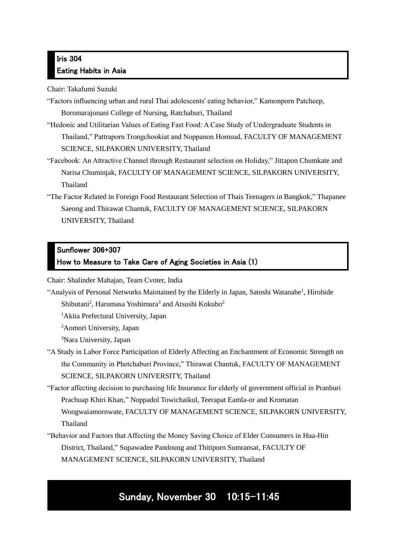### Iris 304 Eating Habits in Asia

Chair: Takafumi Suzuki

- "Factors influencing urban and rural Thai adolescents' eating behavior," Kamonporn Patcheep, Boromarajonani College of Nursing, Ratchaburi, Thailand
- "Hedonic and Utilitarian Values of Eating Fast Food: A Case Study of Undergraduate Students in Thailand," Pattraporn Trongchookiat and Noppanon Homsud, FACULTY OF MANAGEMENT SCIENCE, SILPAKORN UNIVERSITY, Thailand
- "Facebook: An Attractive Channel through Restaurant selection on Holiday," Jittapon Chumkate and Narisa Chuminjak, FACULTY OF MANAGEMENT SCIENCE, SILPAKORN UNIVERSITY, Thailand
- "The Factor Related in Foreign Food Restaurant Selection of Thais Teenagers in Bangkok," Thapanee Saeong and Thirawat Chantuk, FACULTY OF MANAGEMENT SCIENCE, SILPAKORN UNIVERSITY, Thailand

## Sunflower 306+307

#### How to Measure to Take Care of Aging Societies in Asia (1)

Chair: Shalinder Mahajan, Team Cvoter, India

- "Analysis of Personal Networks Maintained by the Elderly in Japan, Satoshi Watanabe<sup>1</sup>, Hirohide Shibutani<sup>2</sup>, Harumasa Yoshimura<sup>3</sup> and Atsushi Kokubo<sup>2</sup>
	- <sup>1</sup>Akita Prefectural University, Japan
	- <sup>2</sup>Aomori University, Japan

<sup>3</sup>Nara University, Japan

- "A Study in Labor Force Participation of Elderly Affecting an Enchantment of Economic Strength on the Community in Phetchaburi Province," Thirawat Chantuk, FACULTY OF MANAGEMENT SCIENCE, SILPAKORN UNIVERSITY, Thailand
- "Factor affecting decision to purchasing life Insurance for elderly of government official in Pranburi Prachuap Khiri Khan," Noppadol Towichaikul, Teerapat Eamla-or and Kromatan Wongwaiamornwate, FACULTY OF MANAGEMENT SCIENCE, SILPAKORN UNIVERSITY, Thailand
- "Behavior and Factors that Affecting the Money Saving Choice of Elder Consumers in Hua-Hin District, Thailand," Supawadee Pandoung and Thitiporn Sumransat, FACULTY OF MANAGEMENT SCIENCE, SILPAKORN UNIVERSITY, Thailand

# Sunday, November 30 10:15–11:45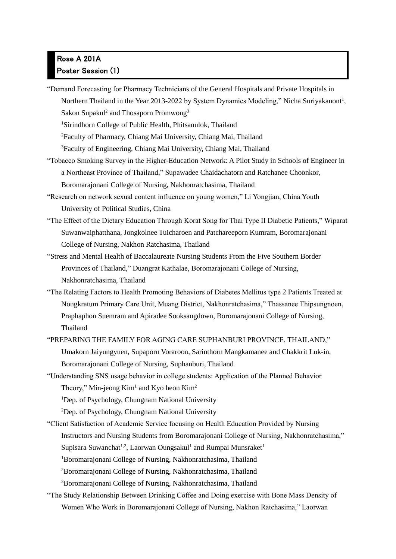## Rose A 201A Poster Session (1)

"Demand Forecasting for Pharmacy Technicians of the General Hospitals and Private Hospitals in Northern Thailand in the Year 2013-2022 by System Dynamics Modeling," Nicha Suriyakanont<sup>1</sup>, Sakon Supakul<sup>2</sup> and Thosaporn Promwong<sup>3</sup>

<sup>1</sup>Sirindhorn College of Public Health, Phitsanulok, Thailand

<sup>2</sup>Faculty of Pharmacy, Chiang Mai University, Chiang Mai, Thailand

<sup>3</sup>Faculty of Engineering, Chiang Mai University, Chiang Mai, Thailand

- "Tobacco Smoking Survey in the Higher-Education Network: A Pilot Study in Schools of Engineer in a Northeast Province of Thailand," Supawadee Chaidachatorn and Ratchanee Choonkor, Boromarajonani College of Nursing, Nakhonratchasima, Thailand
- "Research on network sexual content influence on young women," Li Yongjian, China Youth University of Political Studies, China
- "The Effect of the Dietary Education Through Korat Song for Thai Type II Diabetic Patients," Wiparat Suwanwaiphatthana, Jongkolnee Tuicharoen and Patchareeporn Kumram, Boromarajonani College of Nursing, Nakhon Ratchasima, Thailand
- "Stress and Mental Health of Baccalaureate Nursing Students From the Five Southern Border Provinces of Thailand," Duangrat Kathalae, Boromarajonani College of Nursing, Nakhonratchasima, Thailand
- "The Relating Factors to Health Promoting Behaviors of Diabetes Mellitus type 2 Patients Treated at Nongkratum Primary Care Unit, Muang District, Nakhonratchasima," Thassanee Thipsungnoen, Praphaphon Suemram and Apiradee Sooksangdown, Boromarajonani College of Nursing, Thailand
- "PREPARING THE FAMILY FOR AGING CARE SUPHANBURI PROVINCE, THAILAND," Umakorn Jaiyungyuen, Supaporn Voraroon, Sarinthorn Mangkamanee and Chakkrit Luk-in, Boromarajonani College of Nursing, Suphanburi, Thailand
- "Understanding SNS usage behavior in college students: Application of the Planned Behavior Theory," Min-jeong  $Kim<sup>1</sup>$  and Kyo heon Kim<sup>2</sup>

<sup>1</sup>Dep. of Psychology, Chungnam National University

<sup>2</sup>Dep. of Psychology, Chungnam National University

"Client Satisfaction of Academic Service focusing on Health Education Provided by Nursing Instructors and Nursing Students from Boromarajonani College of Nursing, Nakhonratchasima," Supisara Suwanchat<sup>1,2</sup>, Laorwan Oungsakul<sup>1</sup> and Rumpai Munsraket<sup>1</sup> <sup>1</sup>Boromarajonani College of Nursing, Nakhonratchasima, Thailand <sup>2</sup>Boromarajonani College of Nursing, Nakhonratchasima, Thailand <sup>3</sup>Boromarajonani College of Nursing, Nakhonratchasima, Thailand

"The Study Relationship Between Drinking Coffee and Doing exercise with Bone Mass Density of Women Who Work in Boromarajonani College of Nursing, Nakhon Ratchasima," Laorwan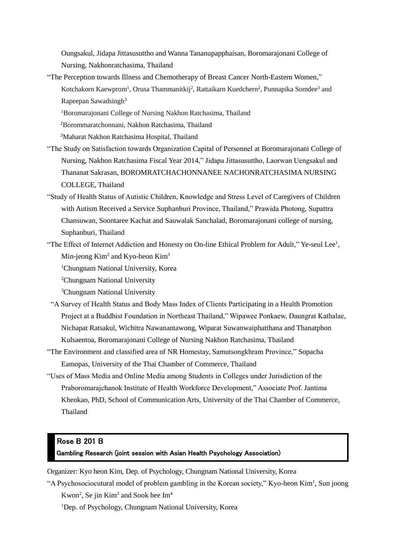Oungsakul, Jidapa Jittasusuttho and Wanna Tananupapphaisan, Boromarajonani College of Nursing, Nakhonratchasima, Thailand

"The Perception towards Illness and Chemotherapy of Breast Cancer North-Eastern Women," Kotchakorn Kaewprom<sup>1</sup>, Orusa Thammanitkij<sup>2</sup>, Rattaikarn Kuedchern<sup>2</sup>, Punnapika Somdee<sup>3</sup> and Rapeepan Sawadsingh<sup>3</sup>

<sup>1</sup>Boromarajonani College of Nursing Nakhon Ratchasima, Thailand

<sup>2</sup>Borommaratchonnani, Nakhon Ratchasima, Thailand

<sup>3</sup>Maharat Nakhon Ratchasima Hospital, Thailand

- "The Study on Satisfaction towards Organization Capital of Personnel at Boromarajonani College of Nursing, Nakhon Ratchasima Fiscal Year 2014," Jidapa Jittasusuttho, Laorwan Uengsakul and Thananat Sakrasan, BOROMRATCHACHONNANEE NACHONRATCHASIMA NURSING COLLEGE, Thailand
- "Study of Health Status of Autistic Children, Knowledge and Stress Level of Caregivers of Children with Autism Received a Service Suphanburi Province, Thailand," Prawida Photong, Supattra Chansuwan, Soontaree Kachat and Sauwalak Sanchalad, Boromarajonani college of nursing, Suphanburi, Thailand
- "The Effect of Internet Addiction and Honesty on On-line Ethical Problem for Adult," Ye-seul Lee<sup>1</sup>, Min-jeong Kim<sup>2</sup> and Kyo-heon Kim<sup>3</sup>

<sup>1</sup>Chungnam National University, Korea

<sup>2</sup>Chungnam National University

<sup>3</sup>Chungnam National University

- "A Survey of Health Status and Body Mass Index of Clients Participating in a Health Promotion Project at a Buddhist Foundation in Northeast Thailand," Wipawee Ponkaew, Daungrat Kathalae, Nichapat Ratsakul, Wichitra Nawanantawong, Wiparat Suwanwaiphatthana and Thanatphon Kulsaentoa, Boromarajonani College of Nursing Nakhon Ratchasima, Thailand
- "The Environment and classified area of NR Homestay, Samutsongkhram Province," Sopacha Eamopas, University of the Thai Chamber of Commerce, Thailand
- "Uses of Mass Media and Online Media among Students in Colleges under Jurisdiction of the Praboromarajchanok Institute of Health Workforce Development," Associate Prof. Jantima Kheokao, PhD, School of Communication Arts, University of the Thai Chamber of Commerce, Thailand

#### Rose B 201 B

Gambling Research (joint session with Asian Health Psychology Association)

Organizer: Kyo heon Kim, Dep. of Psychology, Chungnam National University, Korea

"A Psychosociocutural model of problem gambling in the Korean society," Kyo-heon Kim<sup>1</sup>, Sun joong Kwon<sup>2</sup>, Se jin Kim<sup>3</sup> and Sook hee  $Im<sup>4</sup>$ 

<sup>1</sup>Dep. of Psychology, Chungnam National University, Korea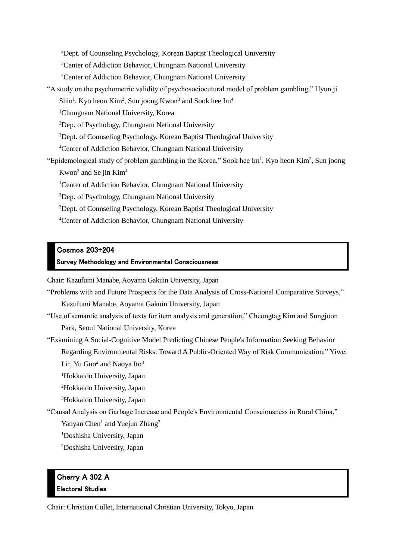Dept. of Counseling Psychology, Korean Baptist Theological University Center of Addiction Behavior, Chungnam National University Center of Addiction Behavior, Chungnam National University "A study on the psychometric validity of psychosociocutural model of problem gambling," Hyun ji Shin<sup>1</sup>, Kyo heon Kim<sup>2</sup>, Sun joong Kwon<sup>3</sup> and Sook hee Im<sup>4</sup> Chungnam National University, Korea Dep. of Psychology, Chungnam National University Dept. of Counseling Psychology, Korean Baptist Theological University Center of Addiction Behavior, Chungnam National University "Epidemological study of problem gambling in the Korea," Sook hee  $Im<sup>1</sup>$ , Kyo heon Kim<sup>2</sup>, Sun joong Kwon<sup>3</sup> and Se jin Kim<sup>4</sup> <sup>1</sup>Center of Addiction Behavior, Chungnam National University Dep. of Psychology, Chungnam National University Dept. of Counseling Psychology, Korean Baptist Theological University Center of Addiction Behavior, Chungnam National University

#### Cosmos 203+204

#### Survey Methodology and Environmental Consciousness

Chair: Kazufumi Manabe, Aoyama Gakuin University, Japan

"Problems with and Future Prospects for the Data Analysis of Cross-National Comparative Surveys," Kazufumi Manabe, Aoyama Gakuin University, Japan "Use of semantic analysis of texts for item analysis and generation," Cheongtag Kim and Sungjoon Park, Seoul National University, Korea "Examining A Social-Cognitive Model Predicting Chinese People's Information Seeking Behavior Regarding Environmental Risks: Toward A Public-Oriented Way of Risk Communication," Yiwei  $\rm Li^1$ , Yu Guo<sup>2</sup> and Naoya Ito<sup>3</sup> <sup>1</sup>Hokkaido University, Japan <sup>2</sup>Hokkaido University, Japan <sup>3</sup>Hokkaido University, Japan "Causal Analysis on Garbage Increase and People's Environmental Consciousness in Rural China," Yanyan Chen<sup>1</sup> and Yuejun Zheng<sup>2</sup> <sup>1</sup>Doshisha University, Japan <sup>2</sup>Doshisha University, Japan

### Cherry A 302 A Electoral Studies

Chair: Christian Collet, International Christian University, Tokyo, Japan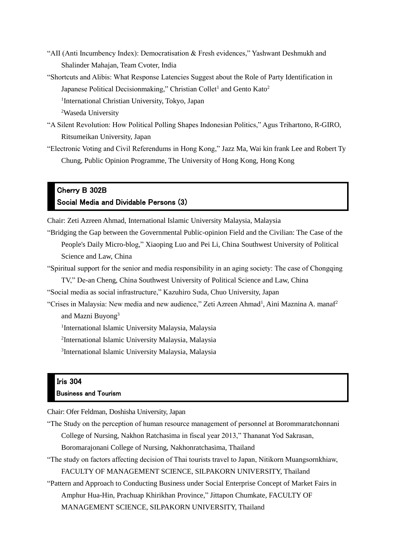- "AII (Anti Incumbency Index): Democratisation & Fresh evidences," Yashwant Deshmukh and Shalinder Mahajan, Team Cvoter, India
- "Shortcuts and Alibis: What Response Latencies Suggest about the Role of Party Identification in Japanese Political Decisionmaking," Christian Collet<sup>1</sup> and Gento Kato<sup>2</sup> <sup>1</sup>International Christian University, Tokyo, Japan
	- <sup>2</sup>Waseda University
- "A Silent Revolution: How Political Polling Shapes Indonesian Politics," Agus Trihartono, R-GIRO, Ritsumeikan University, Japan
	- "Electronic Voting and Civil Referendums in Hong Kong," Jazz Ma, Wai kin frank Lee and Robert Ty Chung, Public Opinion Programme, The University of Hong Kong, Hong Kong

#### Cherry B 302B Social Media and Dividable Persons (3)

Chair: Zeti Azreen Ahmad, International Islamic University Malaysia, Malaysia

"Bridging the Gap between the Governmental Public-opinion Field and the Civilian: The Case of the People's Daily Micro-blog," Xiaoping Luo and Pei Li, China Southwest University of Political Science and Law, China

- "Spiritual support for the senior and media responsibility in an aging society: The case of Chongqing
	- TV," De-an Cheng, China Southwest University of Political Science and Law, China
- "Social media as social infrastructure," Kazuhiro Suda, Chuo University, Japan
- "Crises in Malaysia: New media and new audience," Zeti Azreen Ahmad<sup>1</sup>, Aini Maznina A. manaf<sup>2</sup> and Mazni Buyong<sup>3</sup>

<sup>1</sup>International Islamic University Malaysia, Malaysia

2 International Islamic University Malaysia, Malaysia

3 International Islamic University Malaysia, Malaysia

#### Iris 304

#### Business and Tourism

Chair: Ofer Feldman, Doshisha University, Japan

- "The Study on the perception of human resource management of personnel at Borommaratchonnani College of Nursing, Nakhon Ratchasima in fiscal year 2013," Thananat Yod Sakrasan, Boromarajonani College of Nursing, Nakhonratchasima, Thailand
- "The study on factors affecting decision of Thai tourists travel to Japan, Nitikorn Muangsornkhiaw, FACULTY OF MANAGEMENT SCIENCE, SILPAKORN UNIVERSITY, Thailand
- "Pattern and Approach to Conducting Business under Social Enterprise Concept of Market Fairs in Amphur Hua-Hin, Prachuap Khirikhan Province," Jittapon Chumkate, FACULTY OF MANAGEMENT SCIENCE, SILPAKORN UNIVERSITY, Thailand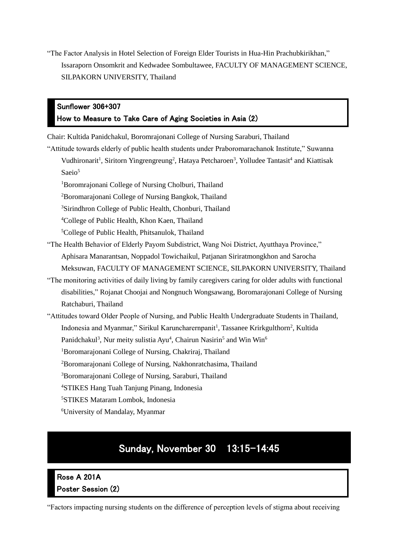"The Factor Analysis in Hotel Selection of Foreign Elder Tourists in Hua-Hin Prachubkirikhan," Issaraporn Onsomkrit and Kedwadee Sombultawee, FACULTY OF MANAGEMENT SCIENCE, SILPAKORN UNIVERSITY, Thailand

### Sunflower 306+307 How to Measure to Take Care of Aging Societies in Asia (2)

Chair: Kultida Panidchakul, Boromrajonani College of Nursing Saraburi, Thailand

"Attitude towards elderly of public health students under Praboromarachanok Institute," Suwanna

Vudhironarit<sup>1</sup>, Siritorn Yingrengreung<sup>2</sup>, Hataya Petcharoen<sup>3</sup>, Yolludee Tantasit<sup>4</sup> and Kiattisak Saeio<sup>5</sup>

<sup>1</sup>Boromrajonani College of Nursing Cholburi, Thailand

<sup>2</sup>Boromarajonani College of Nursing Bangkok, Thailand

<sup>3</sup>Sirindhron College of Public Health, Chonburi, Thailand

<sup>4</sup>College of Public Health, Khon Kaen, Thailand

<sup>5</sup>College of Public Health, Phitsanulok, Thailand

- "The Health Behavior of Elderly Payom Subdistrict, Wang Noi District, Ayutthaya Province," Aphisara Manarantsan, Noppadol Towichaikul, Patjanan Siriratmongkhon and Sarocha Meksuwan, FACULTY OF MANAGEMENT SCIENCE, SILPAKORN UNIVERSITY, Thailand
- "The monitoring activities of daily living by family caregivers caring for older adults with functional disabilities," Rojanat Choojai and Nongnuch Wongsawang, Boromarajonani College of Nursing Ratchaburi, Thailand
- "Attitudes toward Older People of Nursing, and Public Health Undergraduate Students in Thailand, Indonesia and Myanmar," Sirikul Karuncharernpanit<sup>1</sup>, Tassanee Krirkgulthorn<sup>2</sup>, Kultida

Panidchakul<sup>3</sup>, Nur meity sulistia Ayu<sup>4</sup>, Chairun Nasirin<sup>5</sup> and Win Win<sup>6</sup>

<sup>1</sup>Boromarajonani College of Nursing, Chakriraj, Thailand

<sup>2</sup>Boromarajonani College of Nursing, Nakhonratchasima, Thailand

<sup>3</sup>Boromarajonani College of Nursing, Saraburi, Thailand

<sup>4</sup>STIKES Hang Tuah Tanjung Pinang, Indonesia

<sup>5</sup>STIKES Mataram Lombok, Indonesia

<sup>6</sup>University of Mandalay, Myanmar

## Sunday, November 30 13:15–14:45

## Rose A 201A Poster Session (2)

"Factors impacting nursing students on the difference of perception levels of stigma about receiving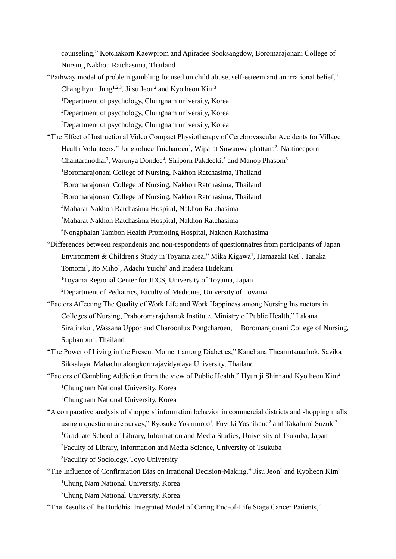counseling," Kotchakorn Kaewprom and Apiradee Sooksangdow, Boromarajonani College of Nursing Nakhon Ratchasima, Thailand

- "Pathway model of problem gambling focused on child abuse, self-esteem and an irrational belief," Chang hyun Jung<sup>1,2,3</sup>, Ji su Jeon<sup>2</sup> and Kyo heon Kim<sup>3</sup>
	- <sup>1</sup>Department of psychology, Chungnam university, Korea
	- <sup>2</sup>Department of psychology, Chungnam university, Korea
	- <sup>3</sup>Department of psychology, Chungnam university, Korea
- "The Effect of Instructional Video Compact Physiotherapy of Cerebrovascular Accidents for Village Health Volunteers," Jongkolnee Tuicharoen<sup>1</sup>, Wiparat Suwanwaiphattana<sup>2</sup>, Nattineeporn Chantaranothai<sup>3</sup>, Warunya Dondee<sup>4</sup>, Siriporn Pakdeekit<sup>5</sup> and Manop Phasom<sup>6</sup> <sup>1</sup>Boromarajonani College of Nursing, Nakhon Ratchasima, Thailand <sup>2</sup>Boromarajonani College of Nursing, Nakhon Ratchasima, Thailand <sup>3</sup>Boromarajonani College of Nursing, Nakhon Ratchasima, Thailand <sup>4</sup>Maharat Nakhon Ratchasima Hospital, Nakhon Ratchasima <sup>5</sup>Maharat Nakhon Ratchasima Hospital, Nakhon Ratchasima <sup>6</sup>Nongphalan Tambon Health Promoting Hospital, Nakhon Ratchasima
- "Differences between respondents and non-respondents of questionnaires from participants of Japan Environment & Children's Study in Toyama area," Mika Kigawa<sup>1</sup>, Hamazaki Kei<sup>1</sup>, Tanaka Tomomi<sup>1</sup>, Ito Miho<sup>1</sup>, Adachi Yuichi<sup>2</sup> and Inadera Hidekuni<sup>1</sup> <sup>1</sup>Toyama Regional Center for JECS, University of Toyama, Japan <sup>2</sup>Department of Pediatrics, Faculty of Medicine, University of Toyama
- "Factors Affecting The Quality of Work Life and Work Happiness among Nursing Instructors in Colleges of Nursing, Praboromarajchanok Institute, Ministry of Public Health," Lakana Siratirakul, Wassana Uppor and Charoonlux Pongcharoen, Boromarajonani College of Nursing, Suphanburi, Thailand
- "The Power of Living in the Present Moment among Diabetics," Kanchana Thearmtanachok, Savika Sikkalaya, Mahachulalongkornrajavidyalaya University, Thailand
- "Factors of Gambling Addiction from the view of Public Health," Hyun ji Shin<sup>1</sup> and Kyo heon Kim<sup>2</sup> <sup>1</sup>Chungnam National University, Korea

<sup>2</sup>Chungnam National University, Korea

- "A comparative analysis of shoppers' information behavior in commercial districts and shopping malls using a questionnaire survey," Ryosuke Yoshimoto<sup>1</sup>, Fuyuki Yoshikane<sup>2</sup> and Takafumi Suzuki<sup>3</sup> <sup>1</sup>Graduate School of Library, Information and Media Studies, University of Tsukuba, Japan <sup>2</sup>Faculty of Library, Information and Media Science, University of Tsukuba <sup>3</sup>Faculity of Sociology, Toyo University
- "The Influence of Confirmation Bias on Irrational Decision-Making," Jisu Jeon<sup>1</sup> and Kyoheon Kim<sup>2</sup> <sup>1</sup>Chung Nam National University, Korea
	- <sup>2</sup>Chung Nam National University, Korea
- "The Results of the Buddhist Integrated Model of Caring End-of-Life Stage Cancer Patients,"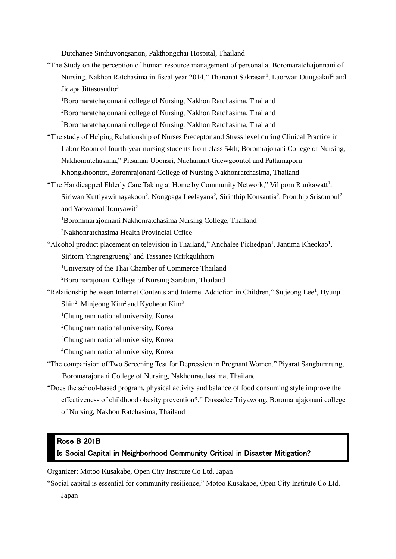Dutchanee Sinthuvongsanon, Pakthongchai Hospital, Thailand

- "The Study on the perception of human resource management of personal at Boromaratchajonnani of Nursing, Nakhon Ratchasima in fiscal year 2014," Thananat Sakrasan<sup>1</sup>, Laorwan Oungsakul<sup>2</sup> and Jidapa Jittasusudto<sup>3</sup>
	- <sup>1</sup>Boromaratchajonnani college of Nursing, Nakhon Ratchasima, Thailand
	- <sup>2</sup>Boromaratchajonnani college of Nursing, Nakhon Ratchasima, Thailand
	- <sup>3</sup>Boromaratchajonnani college of Nursing, Nakhon Ratchasima, Thailand
- "The study of Helping Relationship of Nurses Preceptor and Stress level during Clinical Practice in Labor Room of fourth-year nursing students from class 54th; Boromrajonani College of Nursing, Nakhonratchasima," Pitsamai Ubonsri, Nuchamart Gaewgoontol and Pattamaporn Khongkhoontot, Boromrajonani College of Nursing Nakhonratchasima, Thailand
- "The Handicapped Elderly Care Taking at Home by Community Network," Viliporn Runkawatt<sup>1</sup>, Siriwan Kuttiyawithayakoon<sup>2</sup>, Nongpaga Leelayana<sup>2</sup>, Sirinthip Konsantia<sup>2</sup>, Pronthip Srisombul<sup>2</sup> and Yaowamal Tomyawit<sup>2</sup>
	- <sup>1</sup>Borommarajonnani Nakhonratchasima Nursing College, Thailand
	- <sup>2</sup>Nakhonratchasima Health Provincial Office
- "Alcohol product placement on television in Thailand," Anchalee Pichedpan<sup>1</sup>, Jantima Kheokao<sup>1</sup>,

Siritorn Yingrengrueng<sup>2</sup> and Tassanee Krirkgulthorn<sup>2</sup>

<sup>1</sup>University of the Thai Chamber of Commerce Thailand

<sup>2</sup>Boromarajonani College of Nursing Saraburi, Thailand

- "Relationship between Internet Contents and Internet Addiction in Children," Su jeong Lee<sup>1</sup>, Hyunji Shin<sup>2</sup>, Minjeong Kim<sup>2</sup> and Kyoheon Kim<sup>3</sup>
	- <sup>1</sup>Chungnam national university, Korea
	- <sup>2</sup>Chungnam national university, Korea

<sup>3</sup>Chungnam national university, Korea

- <sup>4</sup>Chungnam national university, Korea
- "The comparision of Two Screening Test for Depression in Pregnant Women," Piyarat Sangbumrung, Boromarajonani College of Nursing, Nakhonratchasima, Thailand
- "Does the school-based program, physical activity and balance of food consuming style improve the effectiveness of childhood obesity prevention?," Dussadee Triyawong, Boromarajajonani college of Nursing, Nakhon Ratchasima, Thailand

#### Rose B 201B

#### Is Social Capital in Neighborhood Community Critical in Disaster Mitigation?

Organizer: Motoo Kusakabe, Open City Institute Co Ltd, Japan

"Social capital is essential for community resilience," Motoo Kusakabe, Open City Institute Co Ltd,

Japan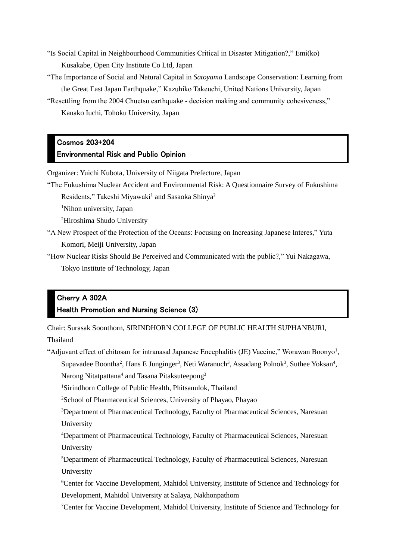- "Is Social Capital in Neighbourhood Communities Critical in Disaster Mitigation?," Emi(ko) Kusakabe, Open City Institute Co Ltd, Japan
- "The Importance of Social and Natural Capital in *Satoyama* Landscape Conservation: Learning from the Great East Japan Earthquake," Kazuhiko Takeuchi, United Nations University, Japan
- "Resettling from the 2004 Chuetsu earthquake decision making and community cohesiveness," Kanako Iuchi, Tohoku University, Japan

### Cosmos 203+204 Environmental Risk and Public Opinion

Organizer: Yuichi Kubota, University of Niigata Prefecture, Japan

"The Fukushima Nuclear Accident and Environmental Risk: A Questionnaire Survey of Fukushima

Residents," Takeshi Miyawaki<sup>1</sup> and Sasaoka Shinya<sup>2</sup>

<sup>1</sup>Nihon university, Japan

<sup>2</sup>Hiroshima Shudo University

"A New Prospect of the Protection of the Oceans: Focusing on Increasing Japanese Interes," Yuta Komori, Meiji University, Japan

"How Nuclear Risks Should Be Perceived and Communicated with the public?," Yui Nakagawa, Tokyo Institute of Technology, Japan

### Cherry A 302A Health Promotion and Nursing Science (3)

Chair: Surasak Soonthorn, SIRINDHORN COLLEGE OF PUBLIC HEALTH SUPHANBURI,

Thailand

"Adjuvant effect of chitosan for intranasal Japanese Encephalitis (JE) Vaccine," Worawan Boonyo<sup>1</sup>, Supavadee Boontha<sup>2</sup>, Hans E Junginger<sup>3</sup>, Neti Waranuch<sup>3</sup>, Assadang Polnok<sup>3</sup>, Suthee Yoksan<sup>4</sup>, Narong Nitatpattana<sup>4</sup> and Tasana Pitaksuteepong<sup>3</sup>

<sup>1</sup>Sirindhorn College of Public Health, Phitsanulok, Thailand

<sup>2</sup>School of Pharmaceutical Sciences, University of Phayao, Phayao

<sup>3</sup>Department of Pharmaceutical Technology, Faculty of Pharmaceutical Sciences, Naresuan University

<sup>4</sup>Department of Pharmaceutical Technology, Faculty of Pharmaceutical Sciences, Naresuan University

<sup>5</sup>Department of Pharmaceutical Technology, Faculty of Pharmaceutical Sciences, Naresuan University

<sup>6</sup>Center for Vaccine Development, Mahidol University, Institute of Science and Technology for Development, Mahidol University at Salaya, Nakhonpathom

<sup>7</sup>Center for Vaccine Development, Mahidol University, Institute of Science and Technology for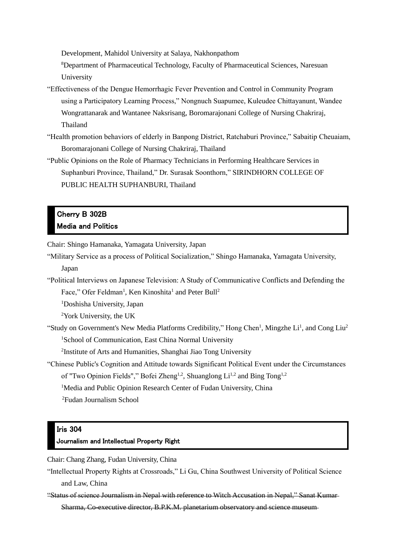Development, Mahidol University at Salaya, Nakhonpathom

<sup>8</sup>Department of Pharmaceutical Technology, Faculty of Pharmaceutical Sciences, Naresuan University

- "Effectiveness of the Dengue Hemorrhagic Fever Prevention and Control in Community Program using a Participatory Learning Process," Nongnuch Suapumee, Kuleudee Chittayanunt, Wandee Wongrattanarak and Wantanee Naksrisang, Boromarajonani College of Nursing Chakriraj, Thailand
- "Health promotion behaviors of elderly in Banpong District, Ratchaburi Province," Sabaitip Cheuaiam, Boromarajonani College of Nursing Chakriraj, Thailand
- "Public Opinions on the Role of Pharmacy Technicians in Performing Healthcare Services in Suphanburi Province, Thailand," Dr. Surasak Soonthorn," SIRINDHORN COLLEGE OF PUBLIC HEALTH SUPHANBURI, Thailand

### Cherry B 302B Media and Politics

Chair: Shingo Hamanaka, Yamagata University, Japan

- "Military Service as a process of Political Socialization," Shingo Hamanaka, Yamagata University, Japan
- "Political Interviews on Japanese Television: A Study of Communicative Conflicts and Defending the Face," Ofer Feldman<sup>1</sup>, Ken Kinoshita<sup>1</sup> and Peter Bull<sup>2</sup>

<sup>1</sup>Doshisha University, Japan

<sup>2</sup>York University, the UK

"Study on Government's New Media Platforms Credibility," Hong Chen<sup>1</sup>, Mingzhe Li<sup>1</sup>, and Cong Liu<sup>2</sup> <sup>1</sup>School of Communication, East China Normal University

<sup>2</sup>Institute of Arts and Humanities, Shanghai Jiao Tong University

"Chinese Public's Cognition and Attitude towards Significant Political Event under the Circumstances of "Two Opinion Fields"," Bofei Zheng<sup>1,2</sup>, Shuanglong  $Li^{1,2}$  and Bing Tong<sup>1,2</sup> <sup>1</sup>Media and Public Opinion Research Center of Fudan University, China

<sup>2</sup>Fudan Journalism School

#### Iris 304

#### Journalism and Intellectual Property Right

Chair: Chang Zhang, Fudan University, China

"Intellectual Property Rights at Crossroads," Li Gu, China Southwest University of Political Science and Law, China

"Status of science Journalism in Nepal with reference to Witch Accusation in Nepal," Sanat Kumar Sharma, Co-executive director, B.P.K.M. planetarium observatory and science museum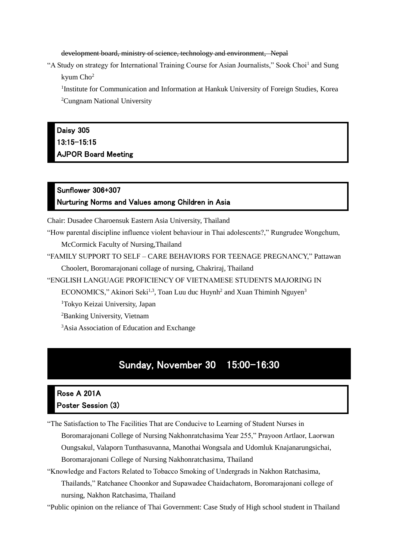development board, ministry of science, technology and environment, Nepal

"A Study on strategy for International Training Course for Asian Journalists," Sook Choi<sup>1</sup> and Sung kyum Cho<sup>2</sup>

<sup>1</sup>Institute for Communication and Information at Hankuk University of Foreign Studies, Korea <sup>2</sup>Cungnam National University

## Daisy 305 13:15-15:15 AJPOR Board Meeting

### Sunflower 306+307 Nurturing Norms and Values among Children in Asia

Chair: Dusadee Charoensuk Eastern Asia University, Thailand

"How parental discipline influence violent behaviour in Thai adolescents?," Rungrudee Wongchum, McCormick Faculty of Nursing,Thailand

"FAMILY SUPPORT TO SELF – CARE BEHAVIORS FOR TEENAGE PREGNANCY," Pattawan Choolert, Boromarajonani collage of nursing, Chakriraj, Thailand

"ENGLISH LANGUAGE PROFICIENCY OF VIETNAMESE STUDENTS MAJORING IN

ECONOMICS," Akinori Seki<sup>1,3</sup>, Toan Luu duc Huynh<sup>2</sup> and Xuan Thiminh Nguyen<sup>3</sup>

<sup>1</sup>Tokyo Keizai University, Japan

<sup>2</sup>Banking University, Vietnam

<sup>3</sup>Asia Association of Education and Exchange

## Sunday, November 30 15:00–16:30

### Rose A 201A Poster Session (3)

"The Satisfaction to The Facilities That are Conducive to Learning of Student Nurses in

Boromarajonani College of Nursing Nakhonratchasima Year 255," Prayoon Artlaor, Laorwan Oungsakul, Valaporn Tunthasuvanna, Manothai Wongsala and Udomluk Knajanarungsichai, Boromarajonani College of Nursing Nakhonratchasima, Thailand

"Knowledge and Factors Related to Tobacco Smoking of Undergrads in Nakhon Ratchasima, Thailands," Ratchanee Choonkor and Supawadee Chaidachatorn, Boromarajonani college of nursing, Nakhon Ratchasima, Thailand

"Public opinion on the reliance of Thai Government: Case Study of High school student in Thailand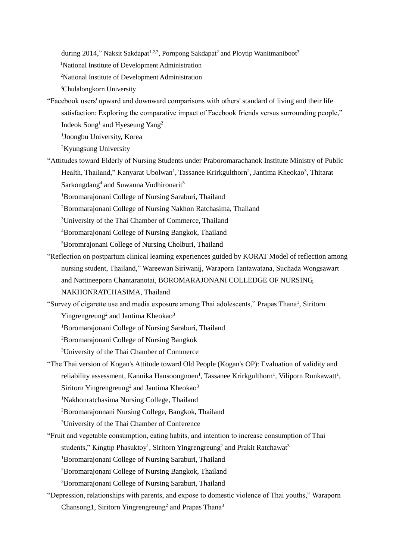during 2014," Naksit Sakdapat<sup>1,2,3</sup>, Pornpong Sakdapat<sup>2</sup> and Ploytip Wanitmaniboot<sup>3</sup>

<sup>1</sup>National Institute of Development Administration

- <sup>2</sup>National Institute of Development Administration
- <sup>3</sup>Chulalongkorn University
- "Facebook users' upward and downward comparisons with others' standard of living and their life satisfaction: Exploring the comparative impact of Facebook friends versus surrounding people," Indeok Song<sup>1</sup> and Hyeseung Yang<sup>2</sup>

1 Joongbu University, Korea

<sup>2</sup>Kyungsung University

"Attitudes toward Elderly of Nursing Students under Praboromarachanok Institute Ministry of Public Health, Thailand," Kanyarat Ubolwan<sup>1</sup>, Tassanee Krirkgulthorn<sup>2</sup>, Jantima Kheokao<sup>3</sup>, Thitarat Sarkongdang<sup>4</sup> and Suwanna Vudhironarit<sup>5</sup>

<sup>1</sup>Boromarajonani College of Nursing Saraburi, Thailand

<sup>2</sup>Boromarajonani College of Nursing Nakhon Ratchasima, Thailand

<sup>3</sup>University of the Thai Chamber of Commerce, Thailand

<sup>4</sup>Boromarajonani College of Nursing Bangkok, Thailand

<sup>5</sup>Boromrajonani College of Nursing Cholburi, Thailand

"Reflection on postpartum clinical learning experiences guided by KORAT Model of reflection among nursing student, Thailand," Wareewan Siriwanij, Waraporn Tantawatana, Suchada Wongsawart and Nattineeporn Chantaranotai, BOROMARAJONANI COLLEDGE OF NURSING, NAKHONRATCHASIMA, Thailand

"Survey of cigarette use and media exposure among Thai adolescents," Prapas Thana<sup>1</sup>, Siritorn

Yingrengreung<sup>2</sup> and Jantima Kheokao<sup>3</sup>

<sup>1</sup>Boromarajonani College of Nursing Saraburi, Thailand

<sup>2</sup>Boromarajonani College of Nursing Bangkok

- <sup>3</sup>University of the Thai Chamber of Commerce
- "The Thai version of Kogan's Attitude toward Old People (Kogan's OP): Evaluation of validity and reliability assessment, Kannika Hansoongnoen<sup>1</sup>, Tassanee Krirkgulthorn<sup>1</sup>, Viliporn Runkawatt<sup>1</sup>, Siritorn Yingrengreung<sup>2</sup> and Jantima Kheokao<sup>3</sup>

<sup>1</sup>Nakhonratchasima Nursing College, Thailand

<sup>2</sup>Boromarajonnani Nursing College, Bangkok, Thailand

<sup>3</sup>University of the Thai Chamber of Conference

"Fruit and vegetable consumption, eating habits, and intention to increase consumption of Thai students," Kingtip Phasuktoy<sup>1</sup>, Siritorn Yingrengreung<sup>2</sup> and Prakit Ratchawat<sup>3</sup> <sup>1</sup>Boromarajonani College of Nursing Saraburi, Thailand

<sup>2</sup>Boromarajonani College of Nursing Bangkok, Thailand

<sup>3</sup>Boromarajonani College of Nursing Saraburi, Thailand

"Depression, relationships with parents, and expose to domestic violence of Thai youths," Waraporn Chansong1, Siritorn Yingrengreung<sup>2</sup> and Prapas Thana<sup>3</sup>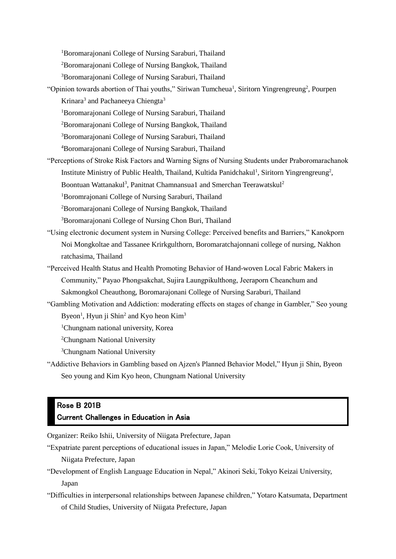<sup>1</sup>Boromarajonani College of Nursing Saraburi, Thailand

<sup>2</sup>Boromarajonani College of Nursing Bangkok, Thailand

<sup>3</sup>Boromarajonani College of Nursing Saraburi, Thailand

- "Opinion towards abortion of Thai youths," Siriwan Tumcheua<sup>1</sup>, Siritorn Yingrengreung<sup>2</sup>, Pourpen Krinara<sup>3</sup> and Pachaneeya Chiengta<sup>3</sup>
	- <sup>1</sup>Boromarajonani College of Nursing Saraburi, Thailand
	- <sup>2</sup>Boromarajonani College of Nursing Bangkok, Thailand
	- <sup>3</sup>Boromarajonani College of Nursing Saraburi, Thailand
	- <sup>4</sup>Boromarajonani College of Nursing Saraburi, Thailand
- "Perceptions of Stroke Risk Factors and Warning Signs of Nursing Students under Praboromarachanok Institute Ministry of Public Health, Thailand, Kultida Panidchakul<sup>1</sup>, Siritorn Yingrengreung<sup>2</sup>, Boontuan Wattanakul<sup>3</sup>, Panitnat Chamnansua1 and Smerchan Teerawatskul<sup>2</sup>

<sup>1</sup>Boromrajonani College of Nursing Saraburi, Thailand

<sup>2</sup>Boromarajonani College of Nursing Bangkok, Thailand

<sup>3</sup>Boromarajonani College of Nursing Chon Buri, Thailand

- "Using electronic document system in Nursing College: Perceived benefits and Barriers," Kanokporn Noi Mongkoltae and Tassanee Krirkgulthorn, Boromaratchajonnani college of nursing, Nakhon ratchasima, Thailand
- "Perceived Health Status and Health Promoting Behavior of Hand-woven Local Fabric Makers in Community," Payao Phongsakchat, Sujira Laungpikulthong, Jeeraporn Cheanchum and Sakmongkol Cheauthong, Boromarajonani College of Nursing Saraburi, Thailand
- "Gambling Motivation and Addiction: moderating effects on stages of change in Gambler," Seo young Byeon<sup>1</sup>, Hyun ji Shin<sup>2</sup> and Kyo heon Kim<sup>3</sup>

<sup>1</sup>Chungnam national university, Korea

<sup>2</sup>Chungnam National University

- <sup>3</sup>Chungnam National University
- "Addictive Behaviors in Gambling based on Ajzen's Planned Behavior Model," Hyun ji Shin, Byeon Seo young and Kim Kyo heon, Chungnam National University

# Rose B 201B

#### Current Challenges in Education in Asia

Organizer: Reiko Ishii, University of Niigata Prefecture, Japan

- "Expatriate parent perceptions of educational issues in Japan," Melodie Lorie Cook, University of Niigata Prefecture, Japan
- "Development of English Language Education in Nepal," Akinori Seki, Tokyo Keizai University, Japan
- "Difficulties in interpersonal relationships between Japanese children," Yotaro Katsumata, Department of Child Studies, University of Niigata Prefecture, Japan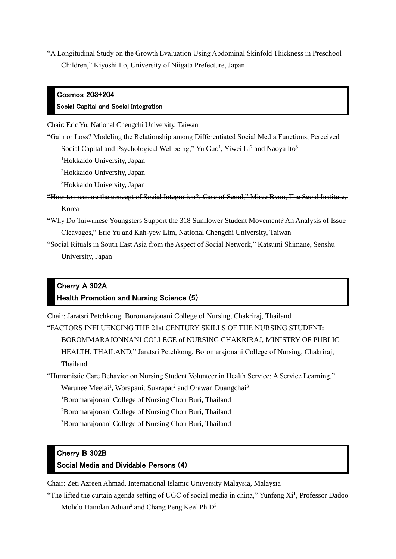"A Longitudinal Study on the Growth Evaluation Using Abdominal Skinfold Thickness in Preschool Children," Kiyoshi Ito, University of Niigata Prefecture, Japan

### Cosmos 203+204 Social Capital and Social Integration

Chair: Eric Yu, National Chengchi University, Taiwan

"Gain or Loss? Modeling the Relationship among Differentiated Social Media Functions, Perceived Social Capital and Psychological Wellbeing," Yu Guo<sup>1</sup>, Yiwei Li<sup>2</sup> and Naoya Ito<sup>3</sup>

<sup>1</sup>Hokkaido University, Japan

<sup>2</sup>Hokkaido University, Japan

<sup>3</sup>Hokkaido University, Japan

- "How to measure the concept of Social Integration?: Case of Seoul," Miree Byun, The Seoul Institute, Korea
- "Why Do Taiwanese Youngsters Support the 318 Sunflower Student Movement? An Analysis of Issue Cleavages," Eric Yu and Kah-yew Lim, National Chengchi University, Taiwan
- "Social Rituals in South East Asia from the Aspect of Social Network," Katsumi Shimane, Senshu University, Japan

#### Cherry A 302A Health Promotion and Nursing Science (5)

Chair: Jaratsri Petchkong, Boromarajonani College of Nursing, Chakriraj, Thailand "FACTORS INFLUENCING THE 21st CENTURY SKILLS OF THE NURSING STUDENT: BOROMMARAJONNANI COLLEGE of NURSING CHAKRIRAJ, MINISTRY OF PUBLIC

HEALTH, THAILAND," Jaratsri Petchkong, Boromarajonani College of Nursing, Chakriraj, Thailand

"Humanistic Care Behavior on Nursing Student Volunteer in Health Service: A Service Learning,"

Warunee Meelai<sup>1</sup>, Worapanit Sukrapat<sup>2</sup> and Orawan Duangchai<sup>3</sup>

<sup>1</sup>Boromarajonani College of Nursing Chon Buri, Thailand

<sup>2</sup>Boromarajonani College of Nursing Chon Buri, Thailand

<sup>3</sup>Boromarajonani College of Nursing Chon Buri, Thailand

#### Cherry B 302B

#### Social Media and Dividable Persons (4)

Chair: Zeti Azreen Ahmad, International Islamic University Malaysia, Malaysia

"The lifted the curtain agenda setting of UGC of social media in china," Yunfeng Xi<sup>1</sup>, Professor Dadoo Mohdo Hamdan Adnan<sup>2</sup> and Chang Peng Kee' Ph.D<sup>3</sup>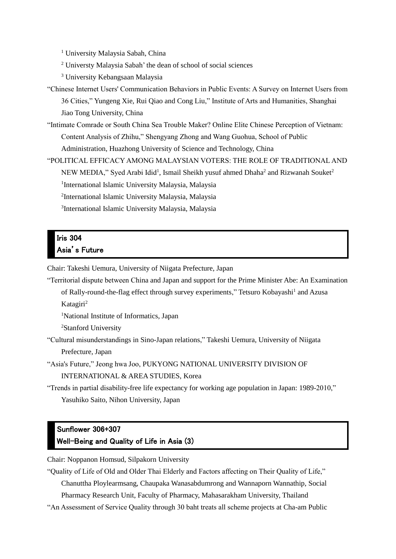<sup>1</sup> University Malaysia Sabah, China

<sup>2</sup> Universty Malaysia Sabah' the dean of school of social sciences

<sup>3</sup> University Kebangsaan Malaysia

- "Chinese Internet Users' Communication Behaviors in Public Events: A Survey on Internet Users from 36 Cities," Yungeng Xie, Rui Qiao and Cong Liu," Institute of Arts and Humanities, Shanghai Jiao Tong University, China
- "Intimate Comrade or South China Sea Trouble Maker? Online Elite Chinese Perception of Vietnam: Content Analysis of Zhihu," Shengyang Zhong and Wang Guohua, School of Public Administration, Huazhong University of Science and Technology, China

"POLITICAL EFFICACY AMONG MALAYSIAN VOTERS: THE ROLE OF TRADITIONAL AND NEW MEDIA," Syed Arabi Idid<sup>1</sup>, Ismail Sheikh yusuf ahmed Dhaha<sup>2</sup> and Rizwanah Souket<sup>2</sup> <sup>1</sup>International Islamic University Malaysia, Malaysia 2 International Islamic University Malaysia, Malaysia 3 International Islamic University Malaysia, Malaysia

### Iris 304 Asia's Future

Chair: Takeshi Uemura, University of Niigata Prefecture, Japan

"Territorial dispute between China and Japan and support for the Prime Minister Abe: An Examination

of Rally-round-the-flag effect through survey experiments," Tetsuro Kobayashi<sup>1</sup> and Azusa Katagiri<sup>2</sup>

<sup>1</sup>National Institute of Informatics, Japan

<sup>2</sup>Stanford University

"Cultural misunderstandings in Sino-Japan relations," Takeshi Uemura, University of Niigata Prefecture, Japan

"Asia's Future," Jeong hwa Joo, PUKYONG NATIONAL UNIVERSITY DIVISION OF INTERNATIONAL & AREA STUDIES, Korea

"Trends in partial disability-free life expectancy for working age population in Japan: 1989-2010," Yasuhiko Saito, Nihon University, Japan

## Sunflower 306+307 Well-Being and Quality of Life in Asia (3)

Chair: Noppanon Homsud, Silpakorn University

"Quality of Life of Old and Older Thai Elderly and Factors affecting on Their Quality of Life,"

Chanuttha Ploylearmsang, Chaupaka Wanasabdumrong and Wannaporn Wannathip, Social

Pharmacy Research Unit, Faculty of Pharmacy, Mahasarakham University, Thailand

"An Assessment of Service Quality through 30 baht treats all scheme projects at Cha-am Public